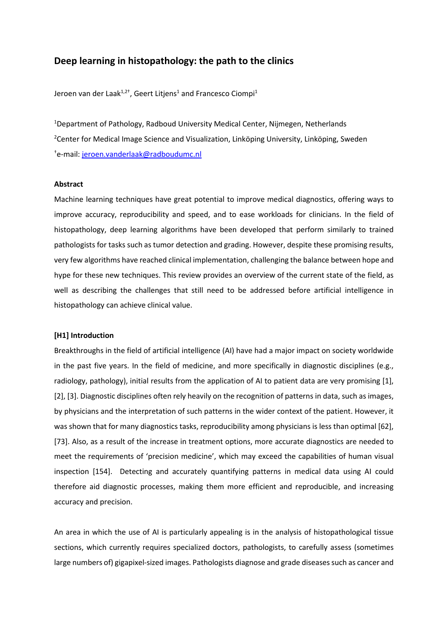# **Deep learning in histopathology: the path to the clinics**

Jeroen van der Laak $^{1,2^+}$ , Geert Litjens $^1$  and Francesco Ciompi $^1$ 

1 Department of Pathology, Radboud University Medical Center, Nijmegen, Netherlands <sup>2</sup>Center for Medical Image Science and Visualization, Linköping University, Linköping, Sweden <sup>†</sup>e-mail: <u>jeroen.vanderlaak@radboudumc.nl</u>

## **Abstract**

Machine learning techniques have great potential to improve medical diagnostics, offering ways to improve accuracy, reproducibility and speed, and to ease workloads for clinicians. In the field of histopathology, deep learning algorithms have been developed that perform similarly to trained pathologists for tasks such as tumor detection and grading. However, despite these promising results, very few algorithms have reached clinical implementation, challenging the balance between hope and hype for these new techniques. This review provides an overview of the current state of the field, as well as describing the challenges that still need to be addressed before artificial intelligence in histopathology can achieve clinical value.

#### **[H1] Introduction**

Breakthroughs in the field of artificial intelligence (AI) have had a major impact on society worldwide in the past five years. In the field of medicine, and more specifically in diagnostic disciplines (e.g., radiology, pathology), initial results from the application of AI to patient data are very promising [1], [2], [3]. Diagnostic disciplines often rely heavily on the recognition of patterns in data, such as images, by physicians and the interpretation of such patterns in the wider context of the patient. However, it was shown that for many diagnostics tasks, reproducibility among physicians is less than optimal [62], [73]. Also, as a result of the increase in treatment options, more accurate diagnostics are needed to meet the requirements of 'precision medicine', which may exceed the capabilities of human visual inspection [154]. Detecting and accurately quantifying patterns in medical data using AI could therefore aid diagnostic processes, making them more efficient and reproducible, and increasing accuracy and precision.

An area in which the use of AI is particularly appealing is in the analysis of histopathological tissue sections, which currently requires specialized doctors, pathologists, to carefully assess (sometimes large numbers of) gigapixel-sized images. Pathologists diagnose and grade diseases such as cancer and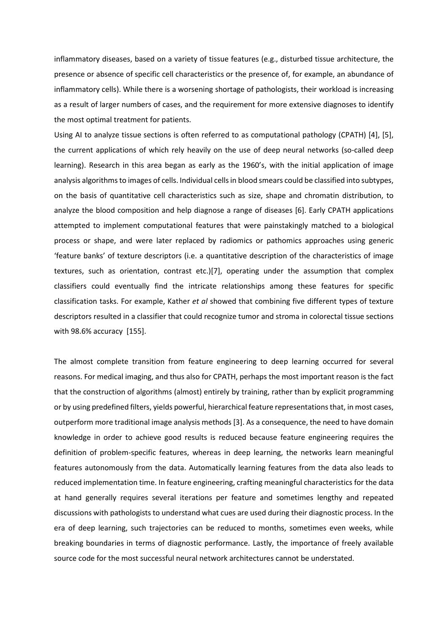inflammatory diseases, based on a variety of tissue features (e.g., disturbed tissue architecture, the presence or absence of specific cell characteristics or the presence of, for example, an abundance of inflammatory cells). While there is a worsening shortage of pathologists, their workload is increasing as a result of larger numbers of cases, and the requirement for more extensive diagnoses to identify the most optimal treatment for patients.

Using AI to analyze tissue sections is often referred to as computational pathology (CPATH) [4], [5], the current applications of which rely heavily on the use of deep neural networks (so-called deep learning). Research in this area began as early as the 1960's, with the initial application of image analysis algorithms to images of cells. Individual cells in blood smears could be classified into subtypes, on the basis of quantitative cell characteristics such as size, shape and chromatin distribution, to analyze the blood composition and help diagnose a range of diseases [6]. Early CPATH applications attempted to implement computational features that were painstakingly matched to a biological process or shape, and were later replaced by radiomics or pathomics approaches using generic 'feature banks' of texture descriptors (i.e. a quantitative description of the characteristics of image textures, such as orientation, contrast etc.)[7], operating under the assumption that complex classifiers could eventually find the intricate relationships among these features for specific classification tasks. For example, Kather *et al* showed that combining five different types of texture descriptors resulted in a classifier that could recognize tumor and stroma in colorectal tissue sections with 98.6% accuracy [155].

The almost complete transition from feature engineering to deep learning occurred for several reasons. For medical imaging, and thus also for CPATH, perhaps the most important reason is the fact that the construction of algorithms (almost) entirely by training, rather than by explicit programming or by using predefined filters, yields powerful, hierarchical feature representations that, in most cases, outperform more traditional image analysis methods [3]. As a consequence, the need to have domain knowledge in order to achieve good results is reduced because feature engineering requires the definition of problem-specific features, whereas in deep learning, the networks learn meaningful features autonomously from the data. Automatically learning features from the data also leads to reduced implementation time. In feature engineering, crafting meaningful characteristics for the data at hand generally requires several iterations per feature and sometimes lengthy and repeated discussions with pathologists to understand what cues are used during their diagnostic process. In the era of deep learning, such trajectories can be reduced to months, sometimes even weeks, while breaking boundaries in terms of diagnostic performance. Lastly, the importance of freely available source code for the most successful neural network architectures cannot be understated.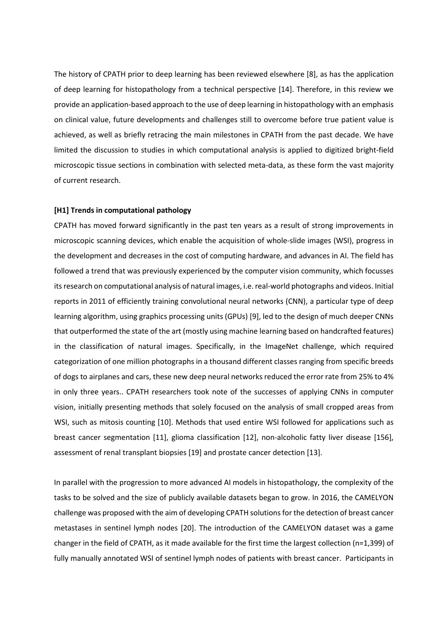The history of CPATH prior to deep learning has been reviewed elsewhere [8], as has the application of deep learning for histopathology from a technical perspective [14]. Therefore, in this review we provide an application-based approach to the use of deep learning in histopathology with an emphasis on clinical value, future developments and challenges still to overcome before true patient value is achieved, as well as briefly retracing the main milestones in CPATH from the past decade. We have limited the discussion to studies in which computational analysis is applied to digitized bright-field microscopic tissue sections in combination with selected meta-data, as these form the vast majority of current research.

#### **[H1] Trends in computational pathology**

CPATH has moved forward significantly in the past ten years as a result of strong improvements in microscopic scanning devices, which enable the acquisition of whole-slide images (WSI), progress in the development and decreases in the cost of computing hardware, and advances in AI. The field has followed a trend that was previously experienced by the computer vision community, which focusses its research on computational analysis of natural images, i.e. real-world photographs and videos. Initial reports in 2011 of efficiently training convolutional neural networks (CNN), a particular type of deep learning algorithm, using graphics processing units (GPUs) [9], led to the design of much deeper CNNs that outperformed the state of the art (mostly using machine learning based on handcrafted features) in the classification of natural images. Specifically, in the ImageNet challenge, which required categorization of one million photographs in a thousand different classes ranging from specific breeds of dogs to airplanes and cars, these new deep neural networks reduced the error rate from 25% to 4% in only three years.. CPATH researchers took note of the successes of applying CNNs in computer vision, initially presenting methods that solely focused on the analysis of small cropped areas from WSI, such as mitosis counting [10]. Methods that used entire WSI followed for applications such as breast cancer segmentation [11], glioma classification [12], non-alcoholic fatty liver disease [156], assessment of renal transplant biopsies [19] and prostate cancer detection [13].

In parallel with the progression to more advanced AI models in histopathology, the complexity of the tasks to be solved and the size of publicly available datasets began to grow. In 2016, the CAMELYON challenge was proposed with the aim of developing CPATH solutions for the detection of breast cancer metastases in sentinel lymph nodes [20]. The introduction of the CAMELYON dataset was a game changer in the field of CPATH, as it made available for the first time the largest collection (n=1,399) of fully manually annotated WSI of sentinel lymph nodes of patients with breast cancer. Participants in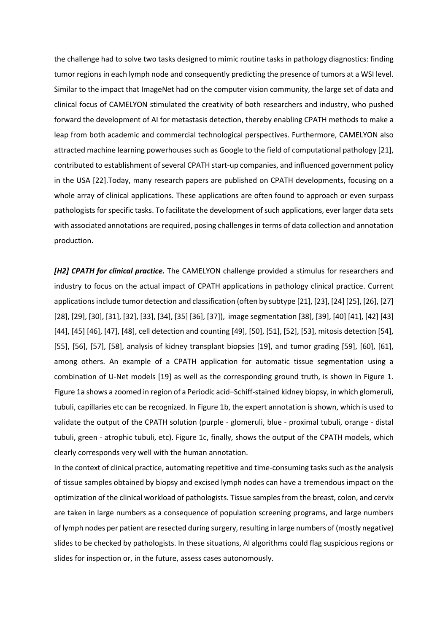the challenge had to solve two tasks designed to mimic routine tasks in pathology diagnostics: finding tumor regions in each lymph node and consequently predicting the presence of tumors at a WSI level. Similar to the impact that ImageNet had on the computer vision community, the large set of data and clinical focus of CAMELYON stimulated the creativity of both researchers and industry, who pushed forward the development of AI for metastasis detection, thereby enabling CPATH methods to make a leap from both academic and commercial technological perspectives. Furthermore, CAMELYON also attracted machine learning powerhouses such as Google to the field of computational pathology [21], contributed to establishment of several CPATH start-up companies, and influenced government policy in the USA [22].Today, many research papers are published on CPATH developments, focusing on a whole array of clinical applications. These applications are often found to approach or even surpass pathologists for specific tasks. To facilitate the development of such applications, ever larger data sets with associated annotations are required, posing challenges in terms of data collection and annotation production.

*[H2] CPATH for clinical practice.* The CAMELYON challenge provided a stimulus for researchers and industry to focus on the actual impact of CPATH applications in pathology clinical practice. Current applications include tumor detection and classification (often by subtype [21], [23], [24] [25], [26], [27] [28], [29], [30], [31], [32], [33], [34], [35] [36], [37]), image segmentation [38], [39], [40] [41], [42] [43] [44], [45] [46], [47], [48], cell detection and counting [49], [50], [51], [52], [53], mitosis detection [54], [55], [56], [57], [58], analysis of kidney transplant biopsies [19], and tumor grading [59], [60], [61], among others. An example of a CPATH application for automatic tissue segmentation using a combination of U-Net models [19] as well as the corresponding ground truth, is shown in Figure 1. Figure 1a shows a zoomed in region of a Periodic acid–Schiff-stained kidney biopsy, in which glomeruli, tubuli, capillaries etc can be recognized. In Figure 1b, the expert annotation is shown, which is used to validate the output of the CPATH solution (purple - glomeruli, blue - proximal tubuli, orange - distal tubuli, green - atrophic tubuli, etc). Figure 1c, finally, shows the output of the CPATH models, which clearly corresponds very well with the human annotation.

In the context of clinical practice, automating repetitive and time-consuming tasks such as the analysis of tissue samples obtained by biopsy and excised lymph nodes can have a tremendous impact on the optimization of the clinical workload of pathologists. Tissue samplesfrom the breast, colon, and cervix are taken in large numbers as a consequence of population screening programs, and large numbers of lymph nodes per patient are resected during surgery, resulting in large numbers of (mostly negative) slides to be checked by pathologists. In these situations, AI algorithms could flag suspicious regions or slides for inspection or, in the future, assess cases autonomously.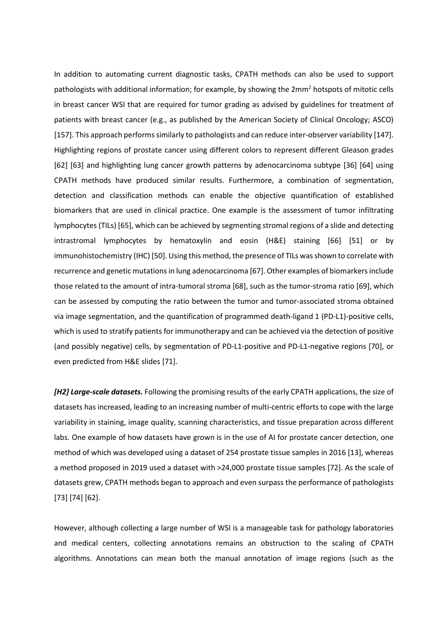In addition to automating current diagnostic tasks, CPATH methods can also be used to support pathologists with additional information; for example, by showing the 2mm<sup>2</sup> hotspots of mitotic cells in breast cancer WSI that are required for tumor grading as advised by guidelines for treatment of patients with breast cancer (e.g., as published by the American Society of Clinical Oncology; ASCO) [157]. This approach performs similarly to pathologists and can reduce inter-observer variability [147]. Highlighting regions of prostate cancer using different colors to represent different Gleason grades [62] [63] and highlighting lung cancer growth patterns by adenocarcinoma subtype [36] [64] using CPATH methods have produced similar results. Furthermore, a combination of segmentation, detection and classification methods can enable the objective quantification of established biomarkers that are used in clinical practice. One example is the assessment of tumor infiltrating lymphocytes (TILs) [65], which can be achieved by segmenting stromal regions of a slide and detecting intrastromal lymphocytes by hematoxylin and eosin (H&E) staining [66] [51] or by immunohistochemistry (IHC) [50]. Using this method, the presence of TILs wasshown to correlate with recurrence and genetic mutations in lung adenocarcinoma [67]. Other examples of biomarkers include those related to the amount of intra-tumoral stroma [68], such as the tumor-stroma ratio [69], which can be assessed by computing the ratio between the tumor and tumor-associated stroma obtained via image segmentation, and the quantification of programmed death-ligand 1 (PD-L1)-positive cells, which is used to stratify patients for immunotherapy and can be achieved via the detection of positive (and possibly negative) cells, by segmentation of PD-L1-positive and PD-L1-negative regions [70], or even predicted from H&E slides [71].

*[H2] Large-scale datasets.* Following the promising results of the early CPATH applications, the size of datasets has increased, leading to an increasing number of multi-centric efforts to cope with the large variability in staining, image quality, scanning characteristics, and tissue preparation across different labs. One example of how datasets have grown is in the use of AI for prostate cancer detection, one method of which was developed using a dataset of 254 prostate tissue samples in 2016 [13], whereas a method proposed in 2019 used a dataset with >24,000 prostate tissue samples [72]. As the scale of datasets grew, CPATH methods began to approach and even surpass the performance of pathologists [73] [74] [62].

However, although collecting a large number of WSI is a manageable task for pathology laboratories and medical centers, collecting annotations remains an obstruction to the scaling of CPATH algorithms. Annotations can mean both the manual annotation of image regions (such as the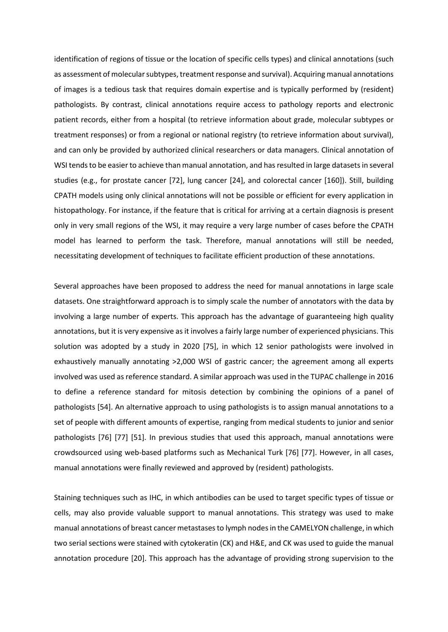identification of regions of tissue or the location of specific cells types) and clinical annotations (such as assessment of molecular subtypes, treatment response and survival). Acquiring manual annotations of images is a tedious task that requires domain expertise and is typically performed by (resident) pathologists. By contrast, clinical annotations require access to pathology reports and electronic patient records, either from a hospital (to retrieve information about grade, molecular subtypes or treatment responses) or from a regional or national registry (to retrieve information about survival), and can only be provided by authorized clinical researchers or data managers. Clinical annotation of WSI tends to be easier to achieve than manual annotation, and has resulted in large datasets in several studies (e.g., for prostate cancer [72], lung cancer [24], and colorectal cancer [160]). Still, building CPATH models using only clinical annotations will not be possible or efficient for every application in histopathology. For instance, if the feature that is critical for arriving at a certain diagnosis is present only in very small regions of the WSI, it may require a very large number of cases before the CPATH model has learned to perform the task. Therefore, manual annotations will still be needed, necessitating development of techniques to facilitate efficient production of these annotations.

Several approaches have been proposed to address the need for manual annotations in large scale datasets. One straightforward approach is to simply scale the number of annotators with the data by involving a large number of experts. This approach has the advantage of guaranteeing high quality annotations, but it is very expensive as it involves a fairly large number of experienced physicians. This solution was adopted by a study in 2020 [75], in which 12 senior pathologists were involved in exhaustively manually annotating >2,000 WSI of gastric cancer; the agreement among all experts involved was used as reference standard. A similar approach was used in the TUPAC challenge in 2016 to define a reference standard for mitosis detection by combining the opinions of a panel of pathologists [54]. An alternative approach to using pathologists is to assign manual annotations to a set of people with different amounts of expertise, ranging from medical students to junior and senior pathologists [76] [77] [51]. In previous studies that used this approach, manual annotations were crowdsourced using web-based platforms such as Mechanical Turk [76] [77]. However, in all cases, manual annotations were finally reviewed and approved by (resident) pathologists.

Staining techniques such as IHC, in which antibodies can be used to target specific types of tissue or cells, may also provide valuable support to manual annotations. This strategy was used to make manual annotations of breast cancer metastases to lymph nodes in the CAMELYON challenge, in which two serial sections were stained with cytokeratin (CK) and H&E, and CK was used to guide the manual annotation procedure [20]. This approach has the advantage of providing strong supervision to the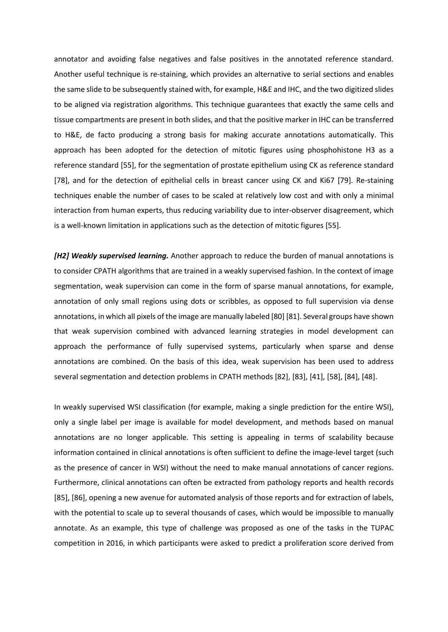annotator and avoiding false negatives and false positives in the annotated reference standard. Another useful technique is re-staining, which provides an alternative to serial sections and enables the same slide to be subsequently stained with, for example, H&E and IHC, and the two digitized slides to be aligned via registration algorithms. This technique guarantees that exactly the same cells and tissue compartments are present in both slides, and that the positive marker in IHC can be transferred to H&E, de facto producing a strong basis for making accurate annotations automatically. This approach has been adopted for the detection of mitotic figures using phosphohistone H3 as a reference standard [55], for the segmentation of prostate epithelium using CK as reference standard [78], and for the detection of epithelial cells in breast cancer using CK and Ki67 [79]. Re-staining techniques enable the number of cases to be scaled at relatively low cost and with only a minimal interaction from human experts, thus reducing variability due to inter-observer disagreement, which is a well-known limitation in applications such as the detection of mitotic figures [55].

*[H2] Weakly supervised learning.* Another approach to reduce the burden of manual annotations is to consider CPATH algorithms that are trained in a weakly supervised fashion. In the context of image segmentation, weak supervision can come in the form of sparse manual annotations, for example, annotation of only small regions using dots or scribbles, as opposed to full supervision via dense annotations, in which all pixels of the image are manually labeled [80] [81]. Several groups have shown that weak supervision combined with advanced learning strategies in model development can approach the performance of fully supervised systems, particularly when sparse and dense annotations are combined. On the basis of this idea, weak supervision has been used to address several segmentation and detection problems in CPATH methods [82], [83], [41], [58], [84], [48].

In weakly supervised WSI classification (for example, making a single prediction for the entire WSI), only a single label per image is available for model development, and methods based on manual annotations are no longer applicable. This setting is appealing in terms of scalability because information contained in clinical annotations is often sufficient to define the image-level target (such as the presence of cancer in WSI) without the need to make manual annotations of cancer regions. Furthermore, clinical annotations can often be extracted from pathology reports and health records [85], [86], opening a new avenue for automated analysis of those reports and for extraction of labels, with the potential to scale up to several thousands of cases, which would be impossible to manually annotate. As an example, this type of challenge was proposed as one of the tasks in the TUPAC competition in 2016, in which participants were asked to predict a proliferation score derived from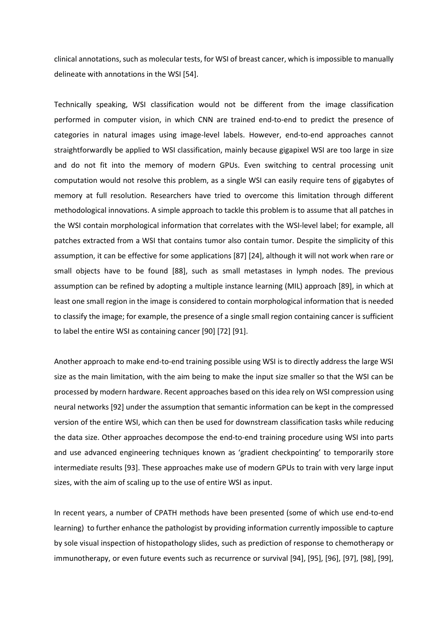clinical annotations, such as molecular tests, for WSI of breast cancer, which is impossible to manually delineate with annotations in the WSI [54].

Technically speaking, WSI classification would not be different from the image classification performed in computer vision, in which CNN are trained end-to-end to predict the presence of categories in natural images using image-level labels. However, end-to-end approaches cannot straightforwardly be applied to WSI classification, mainly because gigapixel WSI are too large in size and do not fit into the memory of modern GPUs. Even switching to central processing unit computation would not resolve this problem, as a single WSI can easily require tens of gigabytes of memory at full resolution. Researchers have tried to overcome this limitation through different methodological innovations. A simple approach to tackle this problem is to assume that all patches in the WSI contain morphological information that correlates with the WSI-level label; for example, all patches extracted from a WSI that contains tumor also contain tumor. Despite the simplicity of this assumption, it can be effective for some applications [87] [24], although it will not work when rare or small objects have to be found [88], such as small metastases in lymph nodes. The previous assumption can be refined by adopting a multiple instance learning (MIL) approach [89], in which at least one small region in the image is considered to contain morphological information that is needed to classify the image; for example, the presence of a single small region containing cancer is sufficient to label the entire WSI as containing cancer [90] [72] [91].

Another approach to make end-to-end training possible using WSI is to directly address the large WSI size as the main limitation, with the aim being to make the input size smaller so that the WSI can be processed by modern hardware. Recent approaches based on this idea rely on WSI compression using neural networks [92] under the assumption that semantic information can be kept in the compressed version of the entire WSI, which can then be used for downstream classification tasks while reducing the data size. Other approaches decompose the end-to-end training procedure using WSI into parts and use advanced engineering techniques known as 'gradient checkpointing' to temporarily store intermediate results [93]. These approaches make use of modern GPUs to train with very large input sizes, with the aim of scaling up to the use of entire WSI as input.

In recent years, a number of CPATH methods have been presented (some of which use end-to-end learning) to further enhance the pathologist by providing information currently impossible to capture by sole visual inspection of histopathology slides, such as prediction of response to chemotherapy or immunotherapy, or even future events such as recurrence or survival [94], [95], [96], [97], [98], [99],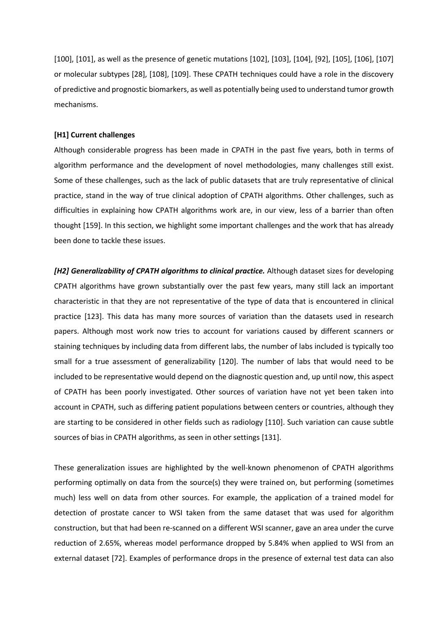[100], [101], as well as the presence of genetic mutations [102], [103], [104], [92], [105], [106], [107] or molecular subtypes [28], [108], [109]. These CPATH techniques could have a role in the discovery of predictive and prognostic biomarkers, as well as potentially being used to understand tumor growth mechanisms.

#### **[H1] Current challenges**

Although considerable progress has been made in CPATH in the past five years, both in terms of algorithm performance and the development of novel methodologies, many challenges still exist. Some of these challenges, such as the lack of public datasets that are truly representative of clinical practice, stand in the way of true clinical adoption of CPATH algorithms. Other challenges, such as difficulties in explaining how CPATH algorithms work are, in our view, less of a barrier than often thought [159]. In this section, we highlight some important challenges and the work that has already been done to tackle these issues.

*[H2] Generalizability of CPATH algorithms to clinical practice.* Although dataset sizes for developing CPATH algorithms have grown substantially over the past few years, many still lack an important characteristic in that they are not representative of the type of data that is encountered in clinical practice [123]. This data has many more sources of variation than the datasets used in research papers. Although most work now tries to account for variations caused by different scanners or staining techniques by including data from different labs, the number of labs included is typically too small for a true assessment of generalizability [120]. The number of labs that would need to be included to be representative would depend on the diagnostic question and, up until now, this aspect of CPATH has been poorly investigated. Other sources of variation have not yet been taken into account in CPATH, such as differing patient populations between centers or countries, although they are starting to be considered in other fields such as radiology [110]. Such variation can cause subtle sources of bias in CPATH algorithms, as seen in other settings [131].

These generalization issues are highlighted by the well-known phenomenon of CPATH algorithms performing optimally on data from the source(s) they were trained on, but performing (sometimes much) less well on data from other sources. For example, the application of a trained model for detection of prostate cancer to WSI taken from the same dataset that was used for algorithm construction, but that had been re-scanned on a different WSI scanner, gave an area under the curve reduction of 2.65%, whereas model performance dropped by 5.84% when applied to WSI from an external dataset [72]. Examples of performance drops in the presence of external test data can also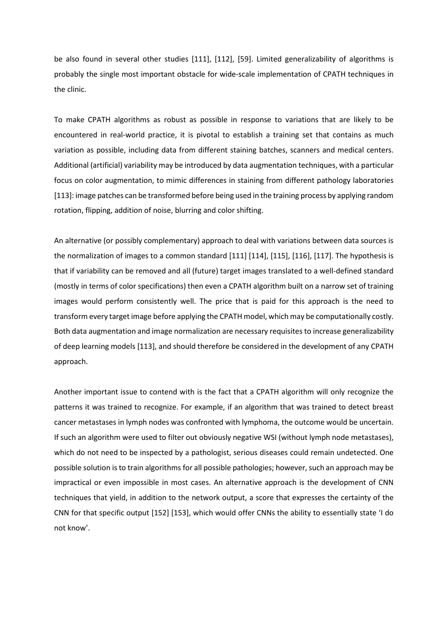be also found in several other studies [111], [112], [59]. Limited generalizability of algorithms is probably the single most important obstacle for wide-scale implementation of CPATH techniques in the clinic.

To make CPATH algorithms as robust as possible in response to variations that are likely to be encountered in real-world practice, it is pivotal to establish a training set that contains as much variation as possible, including data from different staining batches, scanners and medical centers. Additional (artificial) variability may be introduced by data augmentation techniques, with a particular focus on color augmentation, to mimic differences in staining from different pathology laboratories [113]: image patches can be transformed before being used in the training process by applying random rotation, flipping, addition of noise, blurring and color shifting.

An alternative (or possibly complementary) approach to deal with variations between data sources is the normalization of images to a common standard [111] [114], [115], [116], [117]. The hypothesis is that if variability can be removed and all (future) target images translated to a well-defined standard (mostly in terms of color specifications) then even a CPATH algorithm built on a narrow set of training images would perform consistently well. The price that is paid for this approach is the need to transform every target image before applying the CPATH model, which may be computationally costly. Both data augmentation and image normalization are necessary requisites to increase generalizability of deep learning models [113], and should therefore be considered in the development of any CPATH approach.

Another important issue to contend with is the fact that a CPATH algorithm will only recognize the patterns it was trained to recognize. For example, if an algorithm that was trained to detect breast cancer metastases in lymph nodes was confronted with lymphoma, the outcome would be uncertain. If such an algorithm were used to filter out obviously negative WSI (without lymph node metastases), which do not need to be inspected by a pathologist, serious diseases could remain undetected. One possible solution is to train algorithms for all possible pathologies; however, such an approach may be impractical or even impossible in most cases. An alternative approach is the development of CNN techniques that yield, in addition to the network output, a score that expresses the certainty of the CNN for that specific output [152] [153], which would offer CNNs the ability to essentially state 'I do not know'.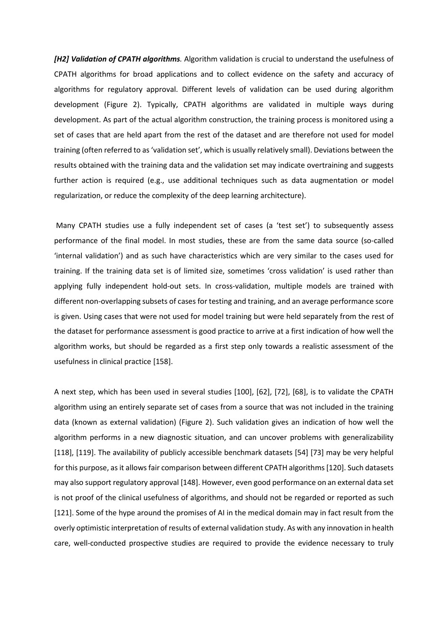*[H2] Validation of CPATH algorithms.* Algorithm validation is crucial to understand the usefulness of CPATH algorithms for broad applications and to collect evidence on the safety and accuracy of algorithms for regulatory approval. Different levels of validation can be used during algorithm development (Figure 2). Typically, CPATH algorithms are validated in multiple ways during development. As part of the actual algorithm construction, the training process is monitored using a set of cases that are held apart from the rest of the dataset and are therefore not used for model training (often referred to as 'validation set', which is usually relatively small). Deviations between the results obtained with the training data and the validation set may indicate overtraining and suggests further action is required (e.g., use additional techniques such as data augmentation or model regularization, or reduce the complexity of the deep learning architecture).

Many CPATH studies use a fully independent set of cases (a 'test set') to subsequently assess performance of the final model. In most studies, these are from the same data source (so-called 'internal validation') and as such have characteristics which are very similar to the cases used for training. If the training data set is of limited size, sometimes 'cross validation' is used rather than applying fully independent hold-out sets. In cross-validation, multiple models are trained with different non-overlapping subsets of cases for testing and training, and an average performance score is given. Using cases that were not used for model training but were held separately from the rest of the dataset for performance assessment is good practice to arrive at a first indication of how well the algorithm works, but should be regarded as a first step only towards a realistic assessment of the usefulness in clinical practice [158].

A next step, which has been used in several studies [100], [62], [72], [68], is to validate the CPATH algorithm using an entirely separate set of cases from a source that was not included in the training data (known as external validation) (Figure 2). Such validation gives an indication of how well the algorithm performs in a new diagnostic situation, and can uncover problems with generalizability [118], [119]. The availability of publicly accessible benchmark datasets [54] [73] may be very helpful for this purpose, as it allows fair comparison between different CPATH algorithms [120]. Such datasets may also support regulatory approval [148]. However, even good performance on an external data set is not proof of the clinical usefulness of algorithms, and should not be regarded or reported as such [121]. Some of the hype around the promises of AI in the medical domain may in fact result from the overly optimistic interpretation of results of external validation study. As with any innovation in health care, well-conducted prospective studies are required to provide the evidence necessary to truly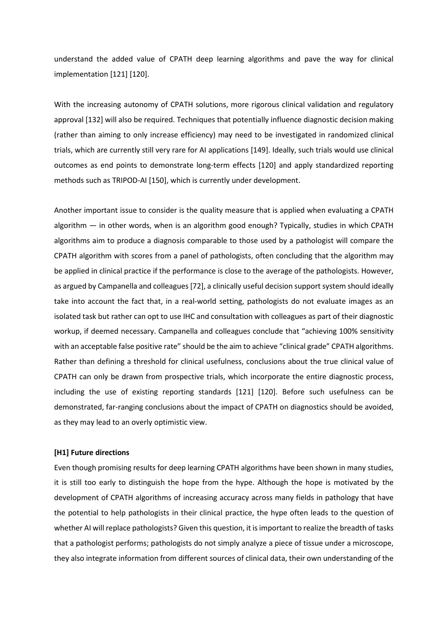understand the added value of CPATH deep learning algorithms and pave the way for clinical implementation [121] [120].

With the increasing autonomy of CPATH solutions, more rigorous clinical validation and regulatory approval [132] will also be required. Techniques that potentially influence diagnostic decision making (rather than aiming to only increase efficiency) may need to be investigated in randomized clinical trials, which are currently still very rare for AI applications [149]. Ideally, such trials would use clinical outcomes as end points to demonstrate long-term effects [120] and apply standardized reporting methods such as TRIPOD-AI [150], which is currently under development.

Another important issue to consider is the quality measure that is applied when evaluating a CPATH algorithm — in other words, when is an algorithm good enough? Typically, studies in which CPATH algorithms aim to produce a diagnosis comparable to those used by a pathologist will compare the CPATH algorithm with scores from a panel of pathologists, often concluding that the algorithm may be applied in clinical practice if the performance is close to the average of the pathologists. However, as argued by Campanella and colleagues [72], a clinically useful decision support system should ideally take into account the fact that, in a real-world setting, pathologists do not evaluate images as an isolated task but rather can opt to use IHC and consultation with colleagues as part of their diagnostic workup, if deemed necessary. Campanella and colleagues conclude that "achieving 100% sensitivity with an acceptable false positive rate" should be the aim to achieve "clinical grade" CPATH algorithms. Rather than defining a threshold for clinical usefulness, conclusions about the true clinical value of CPATH can only be drawn from prospective trials, which incorporate the entire diagnostic process, including the use of existing reporting standards [121] [120]. Before such usefulness can be demonstrated, far-ranging conclusions about the impact of CPATH on diagnostics should be avoided, as they may lead to an overly optimistic view.

#### **[H1] Future directions**

Even though promising results for deep learning CPATH algorithms have been shown in many studies, it is still too early to distinguish the hope from the hype. Although the hope is motivated by the development of CPATH algorithms of increasing accuracy across many fields in pathology that have the potential to help pathologists in their clinical practice, the hype often leads to the question of whether AI will replace pathologists? Given this question, it is important to realize the breadth of tasks that a pathologist performs; pathologists do not simply analyze a piece of tissue under a microscope, they also integrate information from different sources of clinical data, their own understanding of the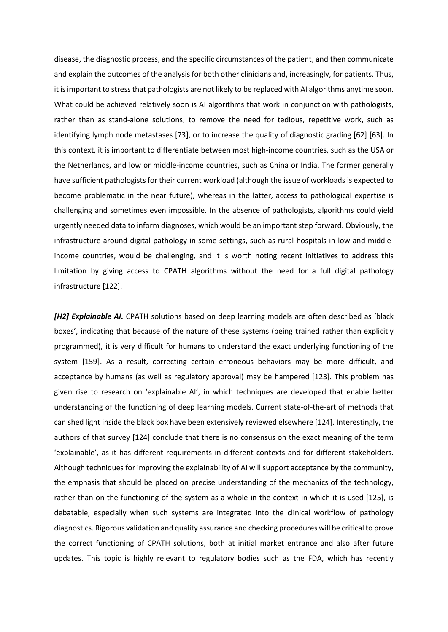disease, the diagnostic process, and the specific circumstances of the patient, and then communicate and explain the outcomes of the analysis for both other clinicians and, increasingly, for patients. Thus, it is important to stress that pathologists are not likely to be replaced with AI algorithms anytime soon. What could be achieved relatively soon is AI algorithms that work in conjunction with pathologists, rather than as stand-alone solutions, to remove the need for tedious, repetitive work, such as identifying lymph node metastases [73], or to increase the quality of diagnostic grading [62] [63]. In this context, it is important to differentiate between most high-income countries, such as the USA or the Netherlands, and low or middle-income countries, such as China or India. The former generally have sufficient pathologists for their current workload (although the issue of workloads is expected to become problematic in the near future), whereas in the latter, access to pathological expertise is challenging and sometimes even impossible. In the absence of pathologists, algorithms could yield urgently needed data to inform diagnoses, which would be an important step forward. Obviously, the infrastructure around digital pathology in some settings, such as rural hospitals in low and middleincome countries, would be challenging, and it is worth noting recent initiatives to address this limitation by giving access to CPATH algorithms without the need for a full digital pathology infrastructure [122].

*[H2] Explainable AI.* CPATH solutions based on deep learning models are often described as 'black boxes', indicating that because of the nature of these systems (being trained rather than explicitly programmed), it is very difficult for humans to understand the exact underlying functioning of the system [159]. As a result, correcting certain erroneous behaviors may be more difficult, and acceptance by humans (as well as regulatory approval) may be hampered [123]. This problem has given rise to research on 'explainable AI', in which techniques are developed that enable better understanding of the functioning of deep learning models. Current state-of-the-art of methods that can shed light inside the black box have been extensively reviewed elsewhere [124]. Interestingly, the authors of that survey [124] conclude that there is no consensus on the exact meaning of the term 'explainable', as it has different requirements in different contexts and for different stakeholders. Although techniques for improving the explainability of AI will support acceptance by the community, the emphasis that should be placed on precise understanding of the mechanics of the technology, rather than on the functioning of the system as a whole in the context in which it is used [125], is debatable, especially when such systems are integrated into the clinical workflow of pathology diagnostics. Rigorous validation and quality assurance and checking procedures will be critical to prove the correct functioning of CPATH solutions, both at initial market entrance and also after future updates. This topic is highly relevant to regulatory bodies such as the FDA, which has recently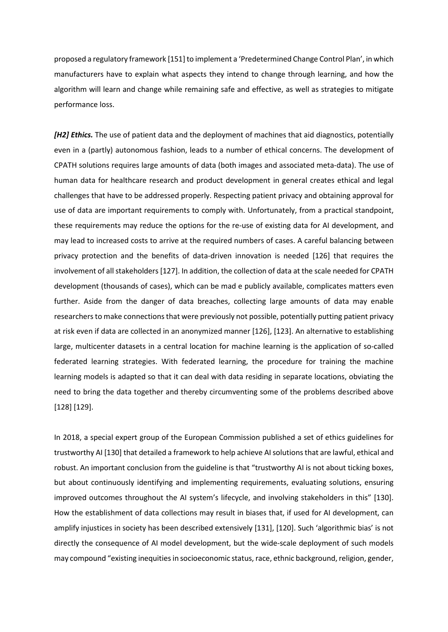proposed a regulatory framework [151] to implement a 'Predetermined Change Control Plan', in which manufacturers have to explain what aspects they intend to change through learning, and how the algorithm will learn and change while remaining safe and effective, as well as strategies to mitigate performance loss.

*[H2] Ethics*. The use of patient data and the deployment of machines that aid diagnostics, potentially even in a (partly) autonomous fashion, leads to a number of ethical concerns. The development of CPATH solutions requires large amounts of data (both images and associated meta-data). The use of human data for healthcare research and product development in general creates ethical and legal challenges that have to be addressed properly. Respecting patient privacy and obtaining approval for use of data are important requirements to comply with. Unfortunately, from a practical standpoint, these requirements may reduce the options for the re-use of existing data for AI development, and may lead to increased costs to arrive at the required numbers of cases. A careful balancing between privacy protection and the benefits of data-driven innovation is needed [126] that requires the involvement of all stakeholders [127]. In addition, the collection of data at the scale needed for CPATH development (thousands of cases), which can be mad e publicly available, complicates matters even further. Aside from the danger of data breaches, collecting large amounts of data may enable researchers to make connections that were previously not possible, potentially putting patient privacy at risk even if data are collected in an anonymized manner [126], [123]. An alternative to establishing large, multicenter datasets in a central location for machine learning is the application of so-called federated learning strategies. With federated learning, the procedure for training the machine learning models is adapted so that it can deal with data residing in separate locations, obviating the need to bring the data together and thereby circumventing some of the problems described above [128] [129].

In 2018, a special expert group of the European Commission published a set of ethics guidelines for trustworthy AI [130] that detailed a framework to help achieve AI solutions that are lawful, ethical and robust. An important conclusion from the guideline is that "trustworthy AI is not about ticking boxes, but about continuously identifying and implementing requirements, evaluating solutions, ensuring improved outcomes throughout the AI system's lifecycle, and involving stakeholders in this" [130]. How the establishment of data collections may result in biases that, if used for AI development, can amplify injustices in society has been described extensively [131], [120]. Such 'algorithmic bias' is not directly the consequence of AI model development, but the wide-scale deployment of such models may compound "existing inequities in socioeconomic status, race, ethnic background, religion, gender,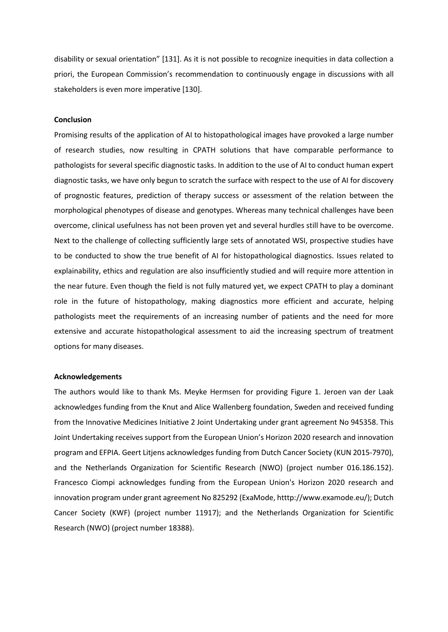disability or sexual orientation" [131]. As it is not possible to recognize inequities in data collection a priori, the European Commission's recommendation to continuously engage in discussions with all stakeholders is even more imperative [130].

#### **Conclusion**

Promising results of the application of AI to histopathological images have provoked a large number of research studies, now resulting in CPATH solutions that have comparable performance to pathologists for several specific diagnostic tasks. In addition to the use of AI to conduct human expert diagnostic tasks, we have only begun to scratch the surface with respect to the use of AI for discovery of prognostic features, prediction of therapy success or assessment of the relation between the morphological phenotypes of disease and genotypes. Whereas many technical challenges have been overcome, clinical usefulness has not been proven yet and several hurdles still have to be overcome. Next to the challenge of collecting sufficiently large sets of annotated WSI, prospective studies have to be conducted to show the true benefit of AI for histopathological diagnostics. Issues related to explainability, ethics and regulation are also insufficiently studied and will require more attention in the near future. Even though the field is not fully matured yet, we expect CPATH to play a dominant role in the future of histopathology, making diagnostics more efficient and accurate, helping pathologists meet the requirements of an increasing number of patients and the need for more extensive and accurate histopathological assessment to aid the increasing spectrum of treatment options for many diseases.

#### **Acknowledgements**

The authors would like to thank Ms. Meyke Hermsen for providing Figure 1. Jeroen van der Laak acknowledges funding from the Knut and Alice Wallenberg foundation, Sweden and received funding from the Innovative Medicines Initiative 2 Joint Undertaking under grant agreement No 945358. This Joint Undertaking receives support from the European Union's Horizon 2020 research and innovation program and EFPIA. Geert Litjens acknowledges funding from Dutch Cancer Society (KUN 2015-7970), and the Netherlands Organization for Scientific Research (NWO) (project number 016.186.152). Francesco Ciompi acknowledges funding from the European Union's Horizon 2020 research and innovation program under grant agreement No 825292 (ExaMode, htttp://www.examode.eu/); Dutch Cancer Society (KWF) (project number 11917); and the Netherlands Organization for Scientific Research (NWO) (project number 18388).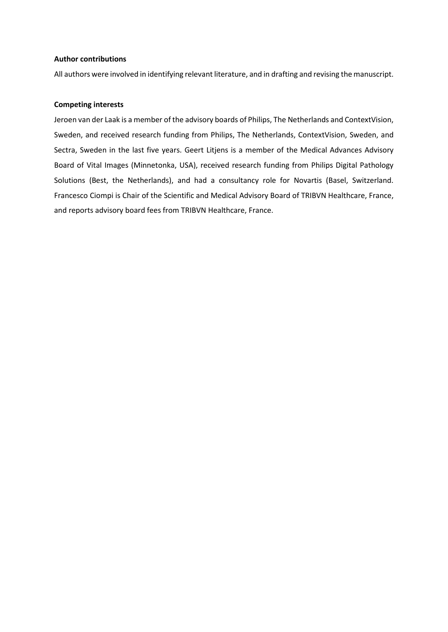#### **Author contributions**

All authors were involved in identifying relevant literature, and in drafting and revising the manuscript.

# **Competing interests**

Jeroen van der Laak is a member of the advisory boards of Philips, The Netherlands and ContextVision, Sweden, and received research funding from Philips, The Netherlands, ContextVision, Sweden, and Sectra, Sweden in the last five years. Geert Litjens is a member of the Medical Advances Advisory Board of Vital Images (Minnetonka, USA), received research funding from Philips Digital Pathology Solutions (Best, the Netherlands), and had a consultancy role for Novartis (Basel, Switzerland. Francesco Ciompi is Chair of the Scientific and Medical Advisory Board of TRIBVN Healthcare, France, and reports advisory board fees from TRIBVN Healthcare, France.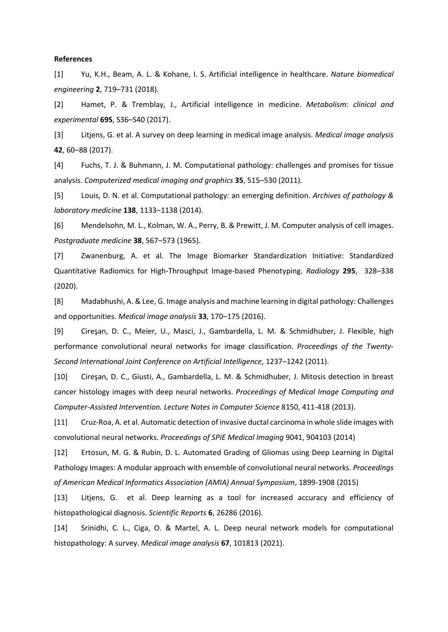#### **References**

[1] Yu, K.H., Beam, A. L. & Kohane, I. S. Artificial intelligence in healthcare. *Nature biomedical engineering* **2**, 719–731 (2018).

[2] Hamet, P. & Tremblay, J., Artificial intelligence in medicine. *Metabolism: clinical and experimental* **69S**, S36–S40 (2017).

[3] Litjens, G. et al. A survey on deep learning in medical image analysis. *Medical image analysis*  **42**, 60–88 (2017).

[4] Fuchs, T. J. & Buhmann, J. M. Computational pathology: challenges and promises for tissue analysis. *Computerized medical imaging and graphics* **35**, 515–530 (2011).

[5] Louis, D. N. et al. Computational pathology: an emerging definition. *Archives of pathology & laboratory medicine* **138**, 1133–1138 (2014).

[6] Mendelsohn, M. L., Kolman, W. A., Perry, B. & Prewitt, J. M. Computer analysis of cell images. *Postgraduate medicine* **38**, 567–573 (1965).

[7] Zwanenburg, A. et al. The Image Biomarker Standardization Initiative: Standardized Quantitative Radiomics for High-Throughput Image-based Phenotyping. *Radiology* **295**, 328–338 (2020).

[8] Madabhushi, A. & Lee, G. Image analysis and machine learning in digital pathology: Challenges and opportunities. *Medical image analysis* **33**, 170–175 (2016).

[9] Cireşan, D. C., Meier, U., Masci, J., Gambardella, L. M. & Schmidhuber, J. Flexible, high performance convolutional neural networks for image classification. *Proceedings of the Twenty-Second International Joint Conference on Artificial Intelligence*, 1237–1242 (2011).

[10] Cireşan, D. C., Giusti, A., Gambardella, L. M. & Schmidhuber, J. Mitosis detection in breast cancer histology images with deep neural networks. *Proceedings of Medical Image Computing and Computer-Assisted Intervention. Lecture Notes in Computer Science* 8150, 411-418 (2013).

[11] Cruz-Roa, A. et al. Automatic detection of invasive ductal carcinoma in whole slide images with convolutional neural networks. *Proceedings of SPIE Medical Imaging* 9041, 904103 (2014)

[12] Ertosun, M. G. & Rubin, D. L. Automated Grading of Gliomas using Deep Learning in Digital Pathology Images: A modular approach with ensemble of convolutional neural networks. *Proceedings of American Medical Informatics Association (AMIA) Annual Symposium*, 1899-1908 (2015)

[13] Litjens, G. et al. Deep learning as a tool for increased accuracy and efficiency of histopathological diagnosis. *Scientific Reports* **6**, 26286 (2016).

[14] Srinidhi, C. L., Ciga, O. & Martel, A. L. Deep neural network models for computational histopathology: A survey. *Medical image analysis* **67**, 101813 (2021).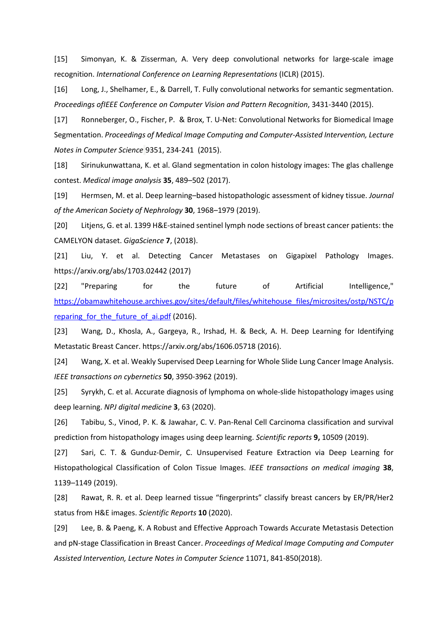[15] Simonyan, K. & Zisserman, A. Very deep convolutional networks for large-scale image recognition. *International Conference on Learning Representations* (ICLR) (2015).

[16] Long, J., Shelhamer, E., & Darrell, T. Fully convolutional networks for semantic segmentation. *Proceedings ofIEEE Conference on Computer Vision and Pattern Recognition*, 3431-3440 (2015).

[17] Ronneberger, O., Fischer, P. & Brox, T. U-Net: Convolutional Networks for Biomedical Image Segmentation. *Proceedings of Medical Image Computing and Computer-Assisted Intervention, Lecture Notes in Computer Science* 9351, 234-241 (2015).

[18] Sirinukunwattana, K. et al. Gland segmentation in colon histology images: The glas challenge contest. *Medical image analysis* **35**, 489–502 (2017).

[19] Hermsen, M. et al. Deep learning–based histopathologic assessment of kidney tissue. *Journal of the American Society of Nephrology* **30**, 1968–1979 (2019).

[20] Litjens, G. et al. 1399 H&E-stained sentinel lymph node sections of breast cancer patients: the CAMELYON dataset. *GigaScience* **7**, (2018).

[21] Liu, Y. et al. Detecting Cancer Metastases on Gigapixel Pathology Images. https://arxiv.org/abs/1703.02442 (2017)

[22] "Preparing for the future of Artificial Intelligence," [https://obamawhitehouse.archives.gov/sites/default/files/whitehouse\\_files/microsites/ostp/NSTC/p](https://obamawhitehouse.archives.gov/sites/default/files/whitehouse_files/microsites/ostp/NSTC/preparing_for_the_future_of_ai.pdf) reparing for the future of ai.pdf (2016).

[23] Wang, D., Khosla, A., Gargeya, R., Irshad, H. & Beck, A. H. Deep Learning for Identifying Metastatic Breast Cancer. https://arxiv.org/abs/1606.05718 (2016).

[24] Wang, X. et al. Weakly Supervised Deep Learning for Whole Slide Lung Cancer Image Analysis. *IEEE transactions on cybernetics* **50**, 3950-3962 (2019).

[25] Syrykh, C. et al. Accurate diagnosis of lymphoma on whole-slide histopathology images using deep learning. *NPJ digital medicine* **3**, 63 (2020).

[26] Tabibu, S., Vinod, P. K. & Jawahar, C. V. Pan-Renal Cell Carcinoma classification and survival prediction from histopathology images using deep learning. *Scientific reports* **9,** 10509 (2019).

[27] Sari, C. T. & Gunduz-Demir, C. Unsupervised Feature Extraction via Deep Learning for Histopathological Classification of Colon Tissue Images. *IEEE transactions on medical imaging* **38**, 1139–1149 (2019).

[28] Rawat, R. R. et al. Deep learned tissue "fingerprints" classify breast cancers by ER/PR/Her2 status from H&E images. *Scientific Reports* **10** (2020).

[29] Lee, B. & Paeng, K. A Robust and Effective Approach Towards Accurate Metastasis Detection and pN-stage Classification in Breast Cancer. *Proceedings of Medical Image Computing and Computer Assisted Intervention, Lecture Notes in Computer Science* 11071, 841-850(2018).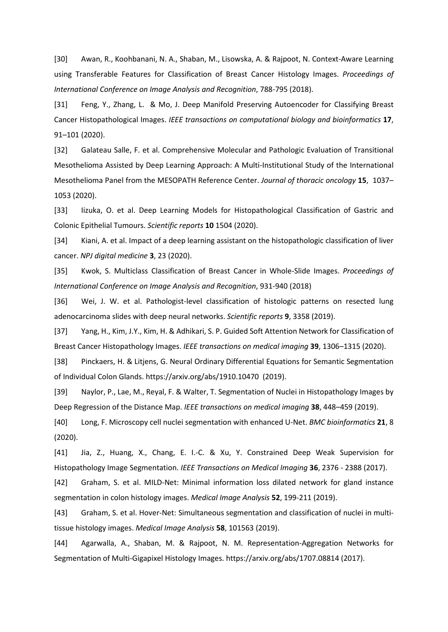[30] Awan, R., Koohbanani, N. A., Shaban, M., Lisowska, A. & Rajpoot, N. Context-Aware Learning using Transferable Features for Classification of Breast Cancer Histology Images. *Proceedings of International Conference on Image Analysis and Recognition*, 788-795 (2018).

[31] Feng, Y., Zhang, L. & Mo, J. Deep Manifold Preserving Autoencoder for Classifying Breast Cancer Histopathological Images. *IEEE transactions on computational biology and bioinformatics* **17**, 91–101 (2020).

[32] Galateau Salle, F. et al. Comprehensive Molecular and Pathologic Evaluation of Transitional Mesothelioma Assisted by Deep Learning Approach: A Multi-Institutional Study of the International Mesothelioma Panel from the MESOPATH Reference Center. *Journal of thoracic oncology* **15**, 1037– 1053 (2020).

[33] Iizuka, O. et al. Deep Learning Models for Histopathological Classification of Gastric and Colonic Epithelial Tumours. *Scientific reports* **10** 1504 (2020).

[34] Kiani, A. et al. Impact of a deep learning assistant on the histopathologic classification of liver cancer. *NPJ digital medicine* **3**, 23 (2020).

[35] Kwok, S. Multiclass Classification of Breast Cancer in Whole-Slide Images. *Proceedings of International Conference on Image Analysis and Recognition*, 931-940 (2018)

[36] Wei, J. W. et al. Pathologist-level classification of histologic patterns on resected lung adenocarcinoma slides with deep neural networks. *Scientific reports* **9**, 3358 (2019).

[37] Yang, H., Kim, J.Y., Kim, H. & Adhikari, S. P. Guided Soft Attention Network for Classification of Breast Cancer Histopathology Images. *IEEE transactions on medical imaging* **39**, 1306–1315 (2020).

[38] Pinckaers, H. & Litjens, G. Neural Ordinary Differential Equations for Semantic Segmentation of Individual Colon Glands. https://arxiv.org/abs/1910.10470 (2019).

[39] Naylor, P., Lae, M., Reyal, F. & Walter, T. Segmentation of Nuclei in Histopathology Images by Deep Regression of the Distance Map. *IEEE transactions on medical imaging* **38**, 448–459 (2019).

[40] Long, F. Microscopy cell nuclei segmentation with enhanced U-Net. *BMC bioinformatics* **21**, 8 (2020).

[41] Jia, Z., Huang, X., Chang, E. I.-C. & Xu, Y. Constrained Deep Weak Supervision for Histopathology Image Segmentation. *IEEE Transactions on Medical Imaging* **36**, 2376 - 2388 (2017).

[42] Graham, S. et al. MILD-Net: Minimal information loss dilated network for gland instance segmentation in colon histology images. *Medical Image Analysis* **52**, 199-211 (2019).

[43] Graham, S. et al. Hover-Net: Simultaneous segmentation and classification of nuclei in multitissue histology images. *Medical Image Analysis* **58**, 101563 (2019).

[44] Agarwalla, A., Shaban, M. & Rajpoot, N. M. Representation-Aggregation Networks for Segmentation of Multi-Gigapixel Histology Images. https://arxiv.org/abs/1707.08814 (2017).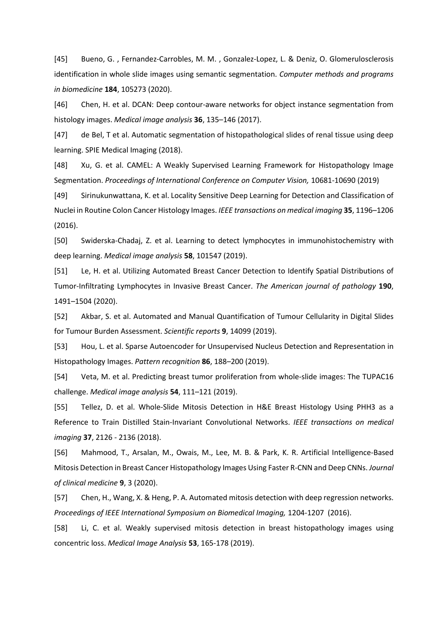[45] Bueno, G. , Fernandez-Carrobles, M. M. , Gonzalez-Lopez, L. & Deniz, O. Glomerulosclerosis identification in whole slide images using semantic segmentation. *Computer methods and programs in biomedicine* **184**, 105273 (2020).

[46] Chen, H. et al. DCAN: Deep contour-aware networks for object instance segmentation from histology images. *Medical image analysis* **36**, 135–146 (2017).

[47] de Bel, T et al. Automatic segmentation of histopathological slides of renal tissue using deep learning. SPIE Medical Imaging (2018).

[48] Xu, G. et al. CAMEL: A Weakly Supervised Learning Framework for Histopathology Image Segmentation. *Proceedings of International Conference on Computer Vision,* 10681-10690 (2019)

[49] Sirinukunwattana, K. et al. Locality Sensitive Deep Learning for Detection and Classification of Nuclei in Routine Colon Cancer Histology Images. *IEEE transactions on medical imaging* **35**, 1196–1206 (2016).

[50] Swiderska-Chadaj, Z. et al. Learning to detect lymphocytes in immunohistochemistry with deep learning. *Medical image analysis* **58**, 101547 (2019).

[51] Le, H. et al. Utilizing Automated Breast Cancer Detection to Identify Spatial Distributions of Tumor-Infiltrating Lymphocytes in Invasive Breast Cancer. *The American journal of pathology* **190**, 1491–1504 (2020).

[52] Akbar, S. et al. Automated and Manual Quantification of Tumour Cellularity in Digital Slides for Tumour Burden Assessment. *Scientific reports* **9**, 14099 (2019).

[53] Hou, L. et al. Sparse Autoencoder for Unsupervised Nucleus Detection and Representation in Histopathology Images. *Pattern recognition* **86**, 188–200 (2019).

[54] Veta, M. et al. Predicting breast tumor proliferation from whole-slide images: The TUPAC16 challenge. *Medical image analysis* **54**, 111–121 (2019).

[55] Tellez, D. et al. Whole-Slide Mitosis Detection in H&E Breast Histology Using PHH3 as a Reference to Train Distilled Stain-Invariant Convolutional Networks. *IEEE transactions on medical imaging* **37**, 2126 - 2136 (2018).

[56] Mahmood, T., Arsalan, M., Owais, M., Lee, M. B. & Park, K. R. Artificial Intelligence-Based Mitosis Detection in Breast Cancer Histopathology Images Using Faster R-CNN and Deep CNNs. *Journal of clinical medicine* **9**, 3 (2020).

[57] Chen, H., Wang, X. & Heng, P. A. Automated mitosis detection with deep regression networks. *Proceedings of IEEE International Symposium on Biomedical Imaging,* 1204-1207 (2016).

[58] Li, C. et al. Weakly supervised mitosis detection in breast histopathology images using concentric loss. *Medical Image Analysis* **53**, 165-178 (2019).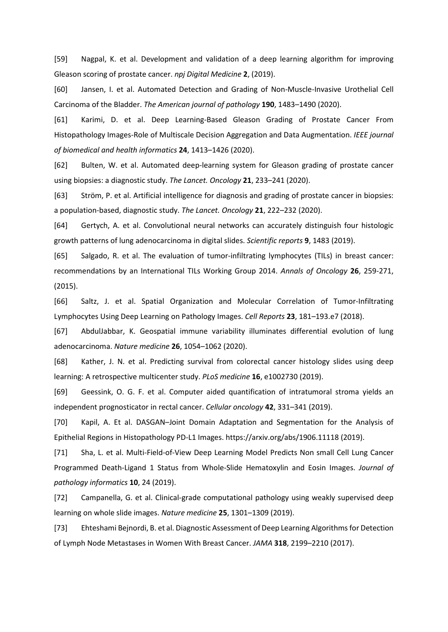[59] Nagpal, K. et al. Development and validation of a deep learning algorithm for improving Gleason scoring of prostate cancer. *npj Digital Medicine* **2**, (2019).

[60] Jansen, I. et al. Automated Detection and Grading of Non-Muscle-Invasive Urothelial Cell Carcinoma of the Bladder. *The American journal of pathology* **190**, 1483–1490 (2020).

[61] Karimi, D. et al. Deep Learning-Based Gleason Grading of Prostate Cancer From Histopathology Images-Role of Multiscale Decision Aggregation and Data Augmentation. *IEEE journal of biomedical and health informatics* **24**, 1413–1426 (2020).

[62] Bulten, W. et al. Automated deep-learning system for Gleason grading of prostate cancer using biopsies: a diagnostic study. *The Lancet. Oncology* **21**, 233–241 (2020).

[63] Ström, P. et al. Artificial intelligence for diagnosis and grading of prostate cancer in biopsies: a population-based, diagnostic study. *The Lancet. Oncology* **21**, 222–232 (2020).

[64] Gertych, A. et al. Convolutional neural networks can accurately distinguish four histologic growth patterns of lung adenocarcinoma in digital slides. *Scientific reports* **9**, 1483 (2019).

[65] Salgado, R. et al. The evaluation of tumor-infiltrating lymphocytes (TILs) in breast cancer: recommendations by an International TILs Working Group 2014. *Annals of Oncology* **26**, 259-271, (2015).

[66] Saltz, J. et al. Spatial Organization and Molecular Correlation of Tumor-Infiltrating Lymphocytes Using Deep Learning on Pathology Images. *Cell Reports* **23**, 181–193.e7 (2018).

[67] AbdulJabbar, K. Geospatial immune variability illuminates differential evolution of lung adenocarcinoma. *Nature medicine* **26**, 1054–1062 (2020).

[68] Kather, J. N. et al. Predicting survival from colorectal cancer histology slides using deep learning: A retrospective multicenter study. *PLoS medicine* **16**, e1002730 (2019).

[69] Geessink, O. G. F. et al. Computer aided quantification of intratumoral stroma yields an independent prognosticator in rectal cancer. *Cellular oncology* **42**, 331–341 (2019).

[70] Kapil, A. Et al. DASGAN–Joint Domain Adaptation and Segmentation for the Analysis of Epithelial Regions in Histopathology PD-L1 Images. https://arxiv.org/abs/1906.11118 (2019).

[71] Sha, L. et al. Multi-Field-of-View Deep Learning Model Predicts Non small Cell Lung Cancer Programmed Death-Ligand 1 Status from Whole-Slide Hematoxylin and Eosin Images. *Journal of pathology informatics* **10**, 24 (2019).

[72] Campanella, G. et al. Clinical-grade computational pathology using weakly supervised deep learning on whole slide images. *Nature medicine* **25**, 1301–1309 (2019).

[73] Ehteshami Bejnordi, B. et al. Diagnostic Assessment of Deep Learning Algorithms for Detection of Lymph Node Metastases in Women With Breast Cancer. *JAMA* **318**, 2199–2210 (2017).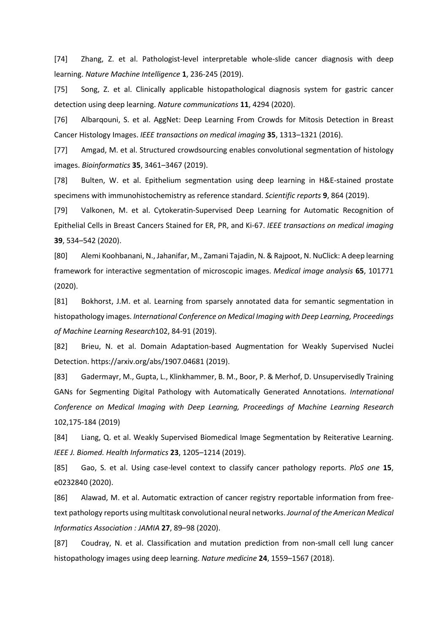[74] Zhang, Z. et al. Pathologist-level interpretable whole-slide cancer diagnosis with deep learning. *Nature Machine Intelligence* **1**, 236-245 (2019).

[75] Song, Z. et al. Clinically applicable histopathological diagnosis system for gastric cancer detection using deep learning. *Nature communications* **11**, 4294 (2020).

[76] Albarqouni, S. et al. AggNet: Deep Learning From Crowds for Mitosis Detection in Breast Cancer Histology Images. *IEEE transactions on medical imaging* **35**, 1313–1321 (2016).

[77] Amgad, M. et al. Structured crowdsourcing enables convolutional segmentation of histology images. *Bioinformatics* **35**, 3461–3467 (2019).

[78] Bulten, W. et al. Epithelium segmentation using deep learning in H&E-stained prostate specimens with immunohistochemistry as reference standard. *Scientific reports* **9**, 864 (2019).

[79] Valkonen, M. et al. Cytokeratin-Supervised Deep Learning for Automatic Recognition of Epithelial Cells in Breast Cancers Stained for ER, PR, and Ki-67. *IEEE transactions on medical imaging* **39**, 534–542 (2020).

[80] Alemi Koohbanani, N., Jahanifar, M., Zamani Tajadin, N. & Rajpoot, N. NuClick: A deep learning framework for interactive segmentation of microscopic images. *Medical image analysis* **65**, 101771 (2020).

[81] Bokhorst, J.M. et al. Learning from sparsely annotated data for semantic segmentation in histopathology images. *International Conference on Medical Imaging with Deep Learning, Proceedings of Machine Learning Research*102, 84-91 (2019).

[82] Brieu, N. et al. Domain Adaptation-based Augmentation for Weakly Supervised Nuclei Detection. https://arxiv.org/abs/1907.04681 (2019).

[83] Gadermayr, M., Gupta, L., Klinkhammer, B. M., Boor, P. & Merhof, D. Unsupervisedly Training GANs for Segmenting Digital Pathology with Automatically Generated Annotations. *International Conference on Medical Imaging with Deep Learning, Proceedings of Machine Learning Research* 102,175-184 (2019)

[84] Liang, Q. et al. Weakly Supervised Biomedical Image Segmentation by Reiterative Learning. *IEEE J. Biomed. Health Informatics* **23**, 1205–1214 (2019).

[85] Gao, S. et al. Using case-level context to classify cancer pathology reports. *PloS one* **15**, e0232840 (2020).

[86] Alawad, M. et al. Automatic extraction of cancer registry reportable information from freetext pathology reports using multitask convolutional neural networks. *Journal of the American Medical Informatics Association : JAMIA* **27**, 89–98 (2020).

[87] Coudray, N. et al. Classification and mutation prediction from non-small cell lung cancer histopathology images using deep learning. *Nature medicine* **24**, 1559–1567 (2018).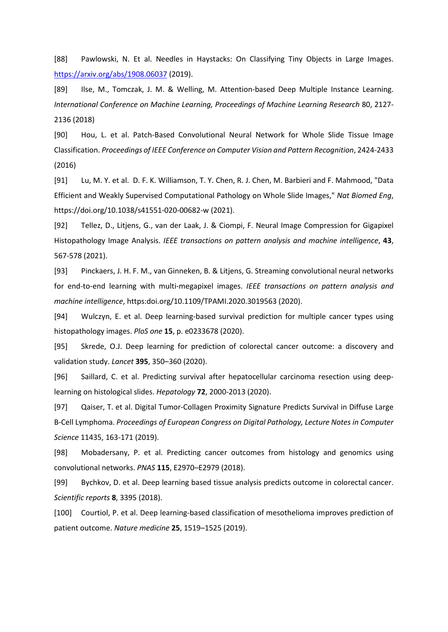[88] Pawlowski, N. Et al. Needles in Haystacks: On Classifying Tiny Objects in Large Images. <https://arxiv.org/abs/1908.06037> (2019).

[89] Ilse, M., Tomczak, J. M. & Welling, M. Attention-based Deep Multiple Instance Learning. *International Conference on Machine Learning, Proceedings of Machine Learning Research* 80, 2127- 2136 (2018)

[90] Hou, L. et al. Patch-Based Convolutional Neural Network for Whole Slide Tissue Image Classification. *Proceedings of IEEE Conference on Computer Vision and Pattern Recognition*, 2424-2433 (2016)

[91] Lu, M. Y. et al. D. F. K. Williamson, T. Y. Chen, R. J. Chen, M. Barbieri and F. Mahmood, "Data Efficient and Weakly Supervised Computational Pathology on Whole Slide Images," *Nat Biomed Eng*, https://doi.org/10.1038/s41551-020-00682-w (2021).

[92] Tellez, D., Litjens, G., van der Laak, J. & Ciompi, F. Neural Image Compression for Gigapixel Histopathology Image Analysis. *IEEE transactions on pattern analysis and machine intelligence*, **43**, 567-578 (2021).

[93] Pinckaers, J. H. F. M., van Ginneken, B. & Litjens, G. Streaming convolutional neural networks for end-to-end learning with multi-megapixel images. *IEEE transactions on pattern analysis and machine intelligence*, https:doi.org/10.1109/TPAMI.2020.3019563 (2020).

[94] Wulczyn, E. et al. Deep learning-based survival prediction for multiple cancer types using histopathology images. *PloS one* **15**, p. e0233678 (2020).

[95] Skrede, O.J. Deep learning for prediction of colorectal cancer outcome: a discovery and validation study. *Lancet* **395**, 350–360 (2020).

[96] Saillard, C. et al. Predicting survival after hepatocellular carcinoma resection using deeplearning on histological slides. *Hepatology* **72**, 2000-2013 (2020).

[97] Qaiser, T. et al. Digital Tumor-Collagen Proximity Signature Predicts Survival in Diffuse Large B-Cell Lymphoma. *Proceedings of European Congress on Digital Pathology, Lecture Notes in Computer Science* 11435, 163-171 (2019).

[98] Mobadersany, P. et al. Predicting cancer outcomes from histology and genomics using convolutional networks. *PNAS* **115**, E2970–E2979 (2018).

[99] Bychkov, D. et al. Deep learning based tissue analysis predicts outcome in colorectal cancer. *Scientific reports* **8**, 3395 (2018).

[100] Courtiol, P. et al. Deep learning-based classification of mesothelioma improves prediction of patient outcome. *Nature medicine* **25**, 1519–1525 (2019).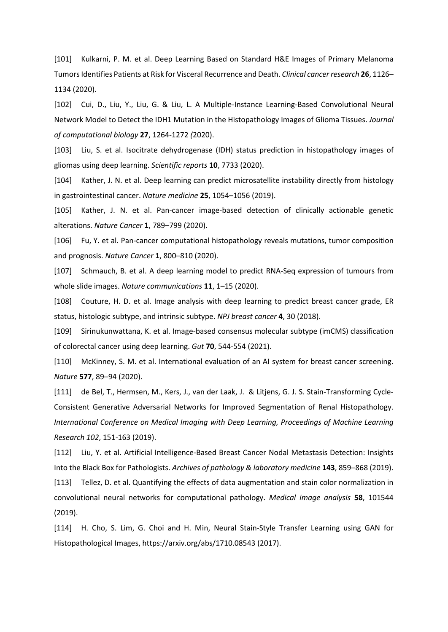[101] Kulkarni, P. M. et al. Deep Learning Based on Standard H&E Images of Primary Melanoma Tumors Identifies Patients at Risk for Visceral Recurrence and Death. *Clinical cancer research* **26**, 1126– 1134 (2020).

[102] Cui, D., Liu, Y., Liu, G. & Liu, L. A Multiple-Instance Learning-Based Convolutional Neural Network Model to Detect the IDH1 Mutation in the Histopathology Images of Glioma Tissues. *Journal of computational biology* **27**, 1264-1272 *(*2020).

[103] Liu, S. et al. Isocitrate dehydrogenase (IDH) status prediction in histopathology images of gliomas using deep learning. *Scientific reports* **10**, 7733 (2020).

[104] Kather, J. N. et al. Deep learning can predict microsatellite instability directly from histology in gastrointestinal cancer. *Nature medicine* **25**, 1054–1056 (2019).

[105] Kather, J. N. et al. Pan-cancer image-based detection of clinically actionable genetic alterations. *Nature Cancer* **1**, 789–799 (2020).

[106] Fu, Y. et al. Pan-cancer computational histopathology reveals mutations, tumor composition and prognosis. *Nature Cancer* **1**, 800–810 (2020).

[107] Schmauch, B. et al. A deep learning model to predict RNA-Seq expression of tumours from whole slide images. *Nature communications* **11**, 1–15 (2020).

[108] Couture, H. D. et al. Image analysis with deep learning to predict breast cancer grade, ER status, histologic subtype, and intrinsic subtype. *NPJ breast cancer* **4**, 30 (2018).

[109] Sirinukunwattana, K. et al. Image-based consensus molecular subtype (imCMS) classification of colorectal cancer using deep learning. *Gut* **70**, 544-554 (2021).

[110] McKinney, S. M. et al. International evaluation of an AI system for breast cancer screening. *Nature* **577**, 89–94 (2020).

[111] de Bel, T., Hermsen, M., Kers, J., van der Laak, J. & Litjens, G. J. S. Stain-Transforming Cycle-Consistent Generative Adversarial Networks for Improved Segmentation of Renal Histopathology. *International Conference on Medical Imaging with Deep Learning, Proceedings of Machine Learning Research 102*, 151-163 (2019).

[112] Liu, Y. et al. Artificial Intelligence-Based Breast Cancer Nodal Metastasis Detection: Insights Into the Black Box for Pathologists. *Archives of pathology & laboratory medicine* **143**, 859–868 (2019).

[113] Tellez, D. et al. Quantifying the effects of data augmentation and stain color normalization in convolutional neural networks for computational pathology. *Medical image analysis* **58**, 101544 (2019).

[114] H. Cho, S. Lim, G. Choi and H. Min, Neural Stain-Style Transfer Learning using GAN for Histopathological Images, https://arxiv.org/abs/1710.08543 (2017).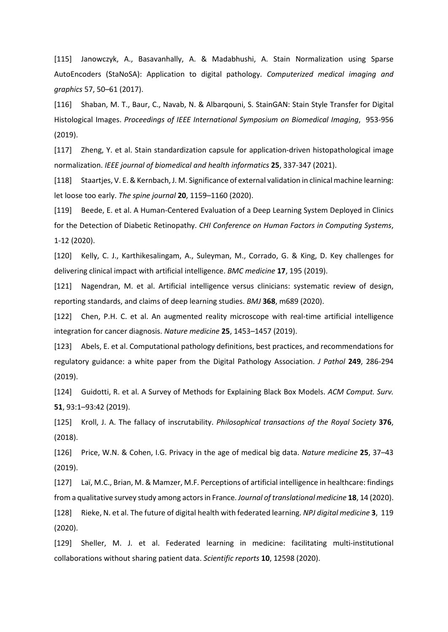[115] Janowczyk, A., Basavanhally, A. & Madabhushi, A. Stain Normalization using Sparse AutoEncoders (StaNoSA): Application to digital pathology. *Computerized medical imaging and graphics* 57, 50–61 (2017).

[116] Shaban, M. T., Baur, C., Navab, N. & Albarqouni, S. StainGAN: Stain Style Transfer for Digital Histological Images. *Proceedings of IEEE International Symposium on Biomedical Imaging*, 953-956 (2019).

[117] Zheng, Y. et al. Stain standardization capsule for application-driven histopathological image normalization. *IEEE journal of biomedical and health informatics* **25**, 337-347 (2021).

[118] Staartjes, V. E. & Kernbach, J. M. Significance of external validation in clinical machine learning: let loose too early. *The spine journal* **20**, 1159–1160 (2020).

[119] Beede, E. et al. A Human-Centered Evaluation of a Deep Learning System Deployed in Clinics for the Detection of Diabetic Retinopathy. *CHI Conference on Human Factors in Computing Systems*, 1-12 (2020).

[120] Kelly, C. J., Karthikesalingam, A., Suleyman, M., Corrado, G. & King, D. Key challenges for delivering clinical impact with artificial intelligence. *BMC medicine* **17**, 195 (2019).

[121] Nagendran, M. et al. Artificial intelligence versus clinicians: systematic review of design, reporting standards, and claims of deep learning studies. *BMJ* **368**, m689 (2020).

[122] Chen, P.H. C. et al. An augmented reality microscope with real-time artificial intelligence integration for cancer diagnosis. *Nature medicine* **25**, 1453–1457 (2019).

[123] Abels, E. et al. Computational pathology definitions, best practices, and recommendations for regulatory guidance: a white paper from the Digital Pathology Association. *J Pathol* **249**, 286-294 (2019).

[124] Guidotti, R. et al. A Survey of Methods for Explaining Black Box Models. *ACM Comput. Surv.*  **51**, 93:1–93:42 (2019).

[125] Kroll, J. A. The fallacy of inscrutability. *Philosophical transactions of the Royal Society* **376**, (2018).

[126] Price, W.N. & Cohen, I.G. Privacy in the age of medical big data. *Nature medicine* **25**, 37–43 (2019).

[127] Laï, M.C., Brian, M. & Mamzer, M.F. Perceptions of artificial intelligence in healthcare: findings from a qualitative survey study among actors in France. *Journal of translational medicine* **18**, 14 (2020).

[128] Rieke, N. et al. The future of digital health with federated learning. *NPJ digital medicine* **3**, 119 (2020).

[129] Sheller, M. J. et al. Federated learning in medicine: facilitating multi-institutional collaborations without sharing patient data. *Scientific reports* **10**, 12598 (2020).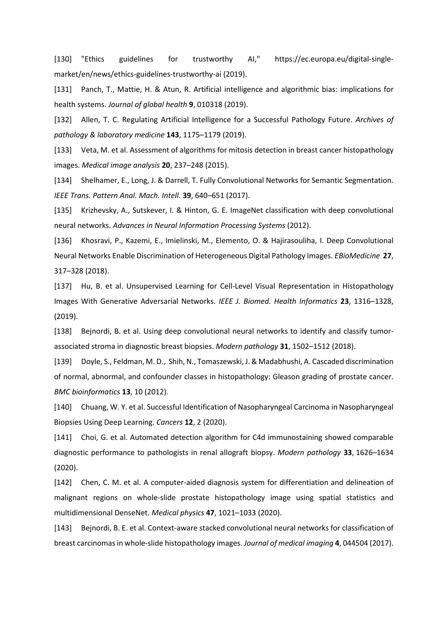[130] "Ethics guidelines for trustworthy AI," https://ec.europa.eu/digital-singlemarket/en/news/ethics-guidelines-trustworthy-ai (2019).

[131] Panch, T., Mattie, H. & Atun, R. Artificial intelligence and algorithmic bias: implications for health systems. *Journal of global health* **9**, 010318 (2019).

[132] Allen, T. C. Regulating Artificial Intelligence for a Successful Pathology Future. *Archives of pathology & laboratory medicine* **143**, 1175–1179 (2019).

[133] Veta, M. et al. Assessment of algorithms for mitosis detection in breast cancer histopathology images. *Medical image analysis* **20**, 237–248 (2015).

[134] Shelhamer, E., Long, J. & Darrell, T. Fully Convolutional Networks for Semantic Segmentation. *IEEE Trans. Pattern Anal. Mach. Intell.* **39**, 640–651 (2017).

[135] Krizhevsky, A., Sutskever, I. & Hinton, G. E. ImageNet classification with deep convolutional neural networks. *Advances in Neural Information Processing Systems* (2012).

[136] Khosravi, P., Kazemi, E., Imielinski, M., Elemento, O. & Hajirasouliha, I. Deep Convolutional Neural Networks Enable Discrimination of Heterogeneous Digital Pathology Images. *EBioMedicine* **27**, 317–328 (2018).

[137] Hu, B. et al. Unsupervised Learning for Cell-Level Visual Representation in Histopathology Images With Generative Adversarial Networks. *IEEE J. Biomed. Health Informatics* **23**, 1316–1328, (2019).

[138] Bejnordi, B. et al. Using deep convolutional neural networks to identify and classify tumorassociated stroma in diagnostic breast biopsies. *Modern pathology* **31**, 1502–1512 (2018).

[139] Doyle, S., Feldman, M. D., Shih, N., Tomaszewski, J. & Madabhushi, A. Cascaded discrimination of normal, abnormal, and confounder classes in histopathology: Gleason grading of prostate cancer. *BMC bioinformatics* **13**, 10 (2012).

[140] Chuang, W. Y. et al. Successful Identification of Nasopharyngeal Carcinoma in Nasopharyngeal Biopsies Using Deep Learning. *Cancers* **12**, 2 (2020).

[141] Choi, G. et al. Automated detection algorithm for C4d immunostaining showed comparable diagnostic performance to pathologists in renal allograft biopsy. *Modern pathology* **33**, 1626–1634 (2020).

[142] Chen, C. M. et al. A computer-aided diagnosis system for differentiation and delineation of malignant regions on whole-slide prostate histopathology image using spatial statistics and multidimensional DenseNet. *Medical physics* **47**, 1021–1033 (2020).

[143] Bejnordi, B. E. et al. Context-aware stacked convolutional neural networks for classification of breast carcinomas in whole-slide histopathology images. *Journal of medical imaging* **4**, 044504 (2017).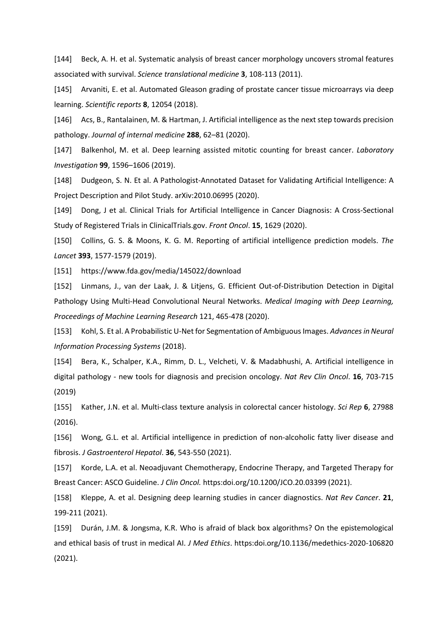[144] Beck, A. H. et al. Systematic analysis of breast cancer morphology uncovers stromal features associated with survival. *Science translational medicine* **3**, 108-113 (2011).

[145] Arvaniti, E. et al. Automated Gleason grading of prostate cancer tissue microarrays via deep learning. *Scientific reports* **8**, 12054 (2018).

[146] Acs, B., Rantalainen, M. & Hartman, J. Artificial intelligence as the next step towards precision pathology. *Journal of internal medicine* **288**, 62–81 (2020).

[147] Balkenhol, M. et al. Deep learning assisted mitotic counting for breast cancer. *Laboratory Investigation* **99**, 1596–1606 (2019).

[148] Dudgeon, S. N. Et al. A Pathologist-Annotated Dataset for Validating Artificial Intelligence: A Project Description and Pilot Study. arXiv:2010.06995 (2020).

[149] Dong, J et al. Clinical Trials for Artificial Intelligence in Cancer Diagnosis: A Cross-Sectional Study of Registered Trials in ClinicalTrials.gov. *Front Oncol*. **15**, 1629 (2020).

[150] Collins, G. S. & Moons, K. G. M. Reporting of artificial intelligence prediction models. *The Lancet* **393**, 1577-1579 (2019).

[151] https://www.fda.gov/media/145022/download

[152] Linmans, J., van der Laak, J. & Litjens, G. Efficient Out-of-Distribution Detection in Digital Pathology Using Multi-Head Convolutional Neural Networks. *Medical Imaging with Deep Learning, Proceedings of Machine Learning Research* 121, 465-478 (2020).

[153] Kohl, S. Et al. A Probabilistic U-Net for Segmentation of Ambiguous Images. *Advances in Neural Information Processing Systems* (2018).

[154] Bera, K., Schalper, K.A., Rimm, D. L., Velcheti, V. & Madabhushi, A. Artificial intelligence in digital pathology - new tools for diagnosis and precision oncology. *Nat Rev Clin Oncol*. **16**, 703-715 (2019)

[155] Kather, J.N. et al. Multi-class texture analysis in colorectal cancer histology. *Sci Rep* **6**, 27988 (2016).

[156] Wong, G.L. et al. Artificial intelligence in prediction of non-alcoholic fatty liver disease and fibrosis. *J Gastroenterol Hepatol*. **36**, 543-550 (2021).

[157] Korde, L.A. et al. Neoadjuvant Chemotherapy, Endocrine Therapy, and Targeted Therapy for Breast Cancer: ASCO Guideline. *J Clin Oncol.* https:doi.org/10.1200/JCO.20.03399 (2021).

[158] Kleppe, A. et al. Designing deep learning studies in cancer diagnostics. *Nat Rev Cancer*. **21**, 199-211 (2021).

[159] Durán, J.M. & Jongsma, K.R. Who is afraid of black box algorithms? On the epistemological and ethical basis of trust in medical AI. *J Med Ethics*. https:doi.org/10.1136/medethics-2020-106820 (2021).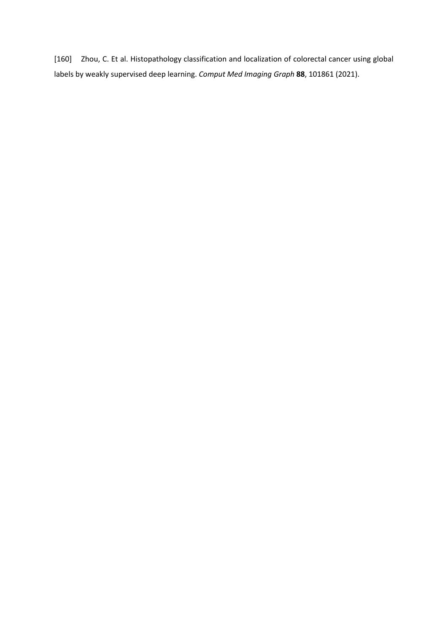[160] Zhou, C. Et al. Histopathology classification and localization of colorectal cancer using global labels by weakly supervised deep learning. *Comput Med Imaging Graph* **88**, 101861 (2021).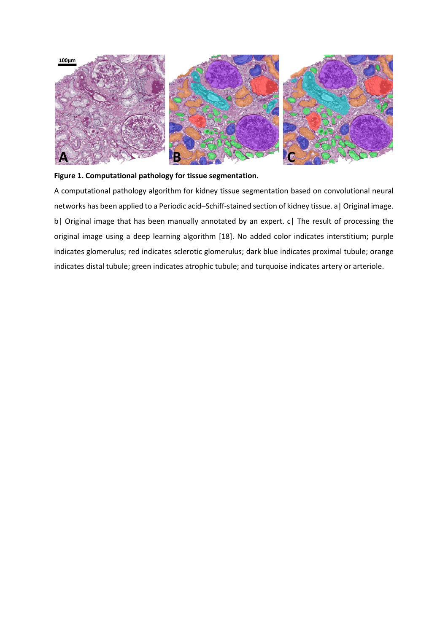

# **Figure 1. Computational pathology for tissue segmentation.**

A computational pathology algorithm for kidney tissue segmentation based on convolutional neural networks has been applied to a Periodic acid–Schiff-stained section of kidney tissue. a| Original image. b| Original image that has been manually annotated by an expert. c| The result of processing the original image using a deep learning algorithm [18]. No added color indicates interstitium; purple indicates glomerulus; red indicates sclerotic glomerulus; dark blue indicates proximal tubule; orange indicates distal tubule; green indicates atrophic tubule; and turquoise indicates artery or arteriole.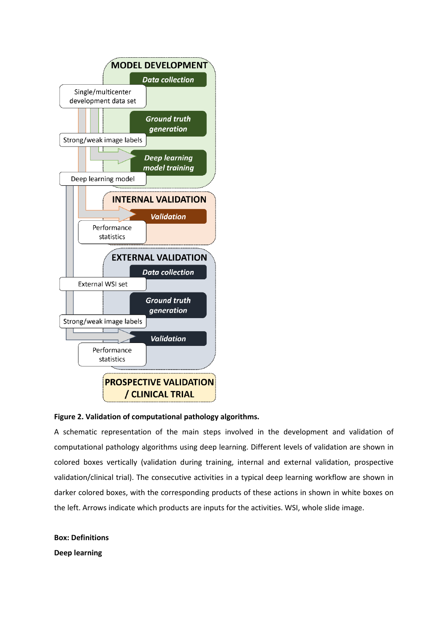

# **Figure 2. Validation of computational pathology algorithms.**

A schematic representation of the main steps involved in the development and validation of computational pathology algorithms using deep learning. Different levels of validation are shown in colored boxes vertically (validation during training, internal and external validation, prospective validation/clinical trial). The consecutive activities in a typical deep learning workflow are shown in darker colored boxes, with the corresponding products of these actions in shown in white boxes on the left. Arrows indicate which products are inputs for the activities. WSI, whole slide image.

**Box: Definitions Deep learning**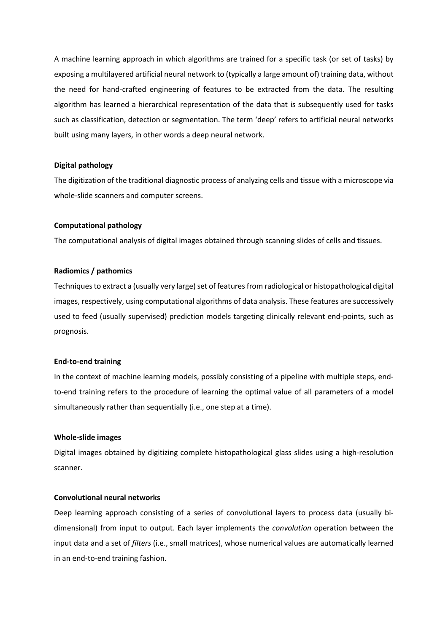A machine learning approach in which algorithms are trained for a specific task (or set of tasks) by exposing a multilayered artificial neural network to (typically a large amount of) training data, without the need for hand-crafted engineering of features to be extracted from the data. The resulting algorithm has learned a hierarchical representation of the data that is subsequently used for tasks such as classification, detection or segmentation. The term 'deep' refers to artificial neural networks built using many layers, in other words a deep neural network.

## **Digital pathology**

The digitization of the traditional diagnostic process of analyzing cells and tissue with a microscope via whole-slide scanners and computer screens.

# **Computational pathology**

The computational analysis of digital images obtained through scanning slides of cells and tissues.

#### **Radiomics / pathomics**

Techniques to extract a (usually very large) set of features from radiological or histopathological digital images, respectively, using computational algorithms of data analysis. These features are successively used to feed (usually supervised) prediction models targeting clinically relevant end-points, such as prognosis.

#### **End-to-end training**

In the context of machine learning models, possibly consisting of a pipeline with multiple steps, endto-end training refers to the procedure of learning the optimal value of all parameters of a model simultaneously rather than sequentially (i.e., one step at a time).

#### **Whole-slide images**

Digital images obtained by digitizing complete histopathological glass slides using a high-resolution scanner.

# **Convolutional neural networks**

Deep learning approach consisting of a series of convolutional layers to process data (usually bidimensional) from input to output. Each layer implements the *convolution* operation between the input data and a set of *filters* (i.e., small matrices), whose numerical values are automatically learned in an end-to-end training fashion.